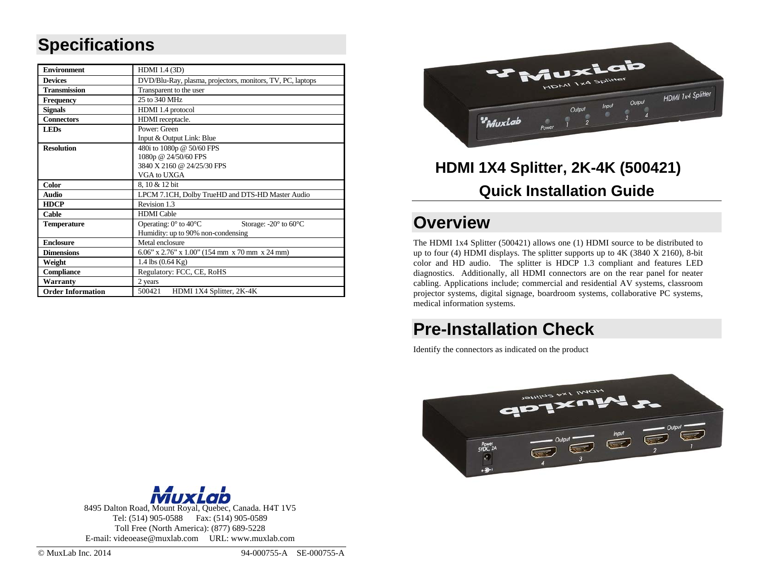## **Specifications**

| <b>Environment</b>       | HDMI 1.4 (3D)                                                                          |  |  |
|--------------------------|----------------------------------------------------------------------------------------|--|--|
| <b>Devices</b>           | DVD/Blu-Ray, plasma, projectors, monitors, TV, PC, laptops                             |  |  |
| <b>Transmission</b>      | Transparent to the user                                                                |  |  |
| <b>Frequency</b>         | 25 to 340 MHz                                                                          |  |  |
| <b>Signals</b>           | HDMI 1.4 protocol                                                                      |  |  |
| <b>Connectors</b>        | HDMI receptacle.                                                                       |  |  |
| <b>LEDs</b>              | Power: Green                                                                           |  |  |
|                          | Input & Output Link: Blue                                                              |  |  |
| <b>Resolution</b>        | 480i to 1080p @ 50/60 FPS                                                              |  |  |
|                          | 1080p @ 24/50/60 FPS                                                                   |  |  |
|                          | 3840 X 2160 @ 24/25/30 FPS                                                             |  |  |
|                          | VGA to UXGA                                                                            |  |  |
| <b>Color</b>             | 8, 10 & 12 bit                                                                         |  |  |
| <b>Audio</b>             | LPCM 7.1CH, Dolby TrueHD and DTS-HD Master Audio                                       |  |  |
| <b>HDCP</b>              | Revision 1.3                                                                           |  |  |
| Cable                    | <b>HDMI</b> Cable                                                                      |  |  |
| <b>Temperature</b>       | Operating: $0^{\circ}$ to $40^{\circ}$ C<br>Storage: $-20^\circ$ to 60 $\rm ^{\circ}C$ |  |  |
|                          | Humidity: up to 90% non-condensing                                                     |  |  |
| <b>Enclosure</b>         | Metal enclosure                                                                        |  |  |
| <b>Dimensions</b>        | $6.06$ " x 2.76" x 1.00" (154 mm x 70 mm x 24 mm)                                      |  |  |
| Weight                   | 1.4 lbs $(0.64 \text{ Kg})$                                                            |  |  |
| <b>Compliance</b>        | Regulatory: FCC, CE, RoHS                                                              |  |  |
| Warranty                 | 2 years                                                                                |  |  |
| <b>Order Information</b> | 500421<br>HDMI 1X4 Splitter, 2K-4K                                                     |  |  |



# **HDMI 1X4 Splitter, 2K-4K (500421) Quick Installation Guide**

#### **Overview**

The HDMI 1x4 Splitter (500421) allows one (1) HDMI source to be distributed to up to four (4) HDMI displays. The splitter supports up to 4K (3840 X 2160), 8-bit color and HD audio. The splitter is HDCP 1.3 compliant and features LED diagnostics. Additionally, all HDMI connectors are on the rear panel for neater cabling. Applications include; commercial and residential AV systems, classroom projector systems, digital signage, boardroom systems, collaborative PC systems, medical information systems.

## **Pre-Installation Check**

Identify the connectors as indicated on the product





8495 Dalton Road, Mount Royal, Quebec, Canada. H4T 1V5 Tel: (514) 905-0588 Fax: (514) 905-0589 Toll Free (North America): (877) 689-5228 E-mail: videoease @muxlab.co m URL: www.muxlab.co m

© MuxLab Inc. 2014 94-000755-A SE-000755-A